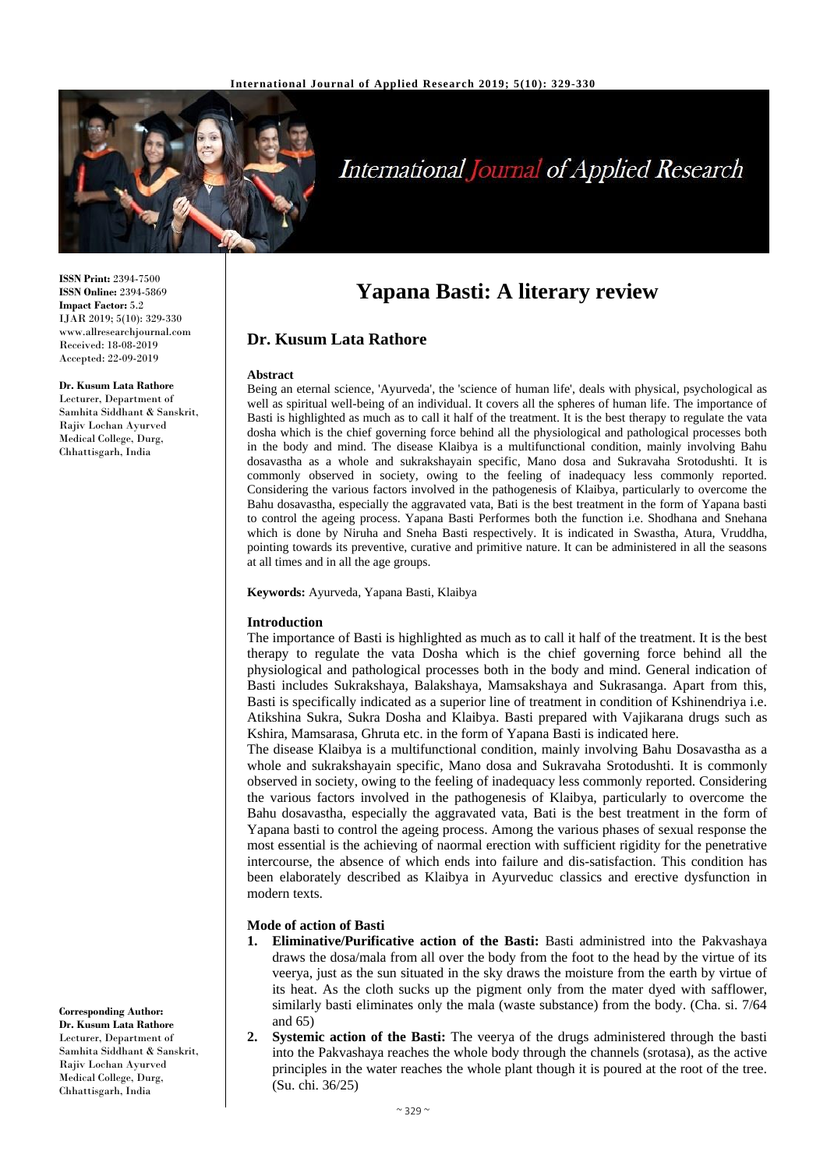

# **International Journal of Applied Research**

**Yapana Basti: A literary review**

Being an eternal science, 'Ayurveda', the 'science of human life', deals with physical, psychological as well as spiritual well-being of an individual. It covers all the spheres of human life. The importance of Basti is highlighted as much as to call it half of the treatment. It is the best therapy to regulate the vata dosha which is the chief governing force behind all the physiological and pathological processes both in the body and mind. The disease Klaibya is a multifunctional condition, mainly involving Bahu dosavastha as a whole and sukrakshayain specific, Mano dosa and Sukravaha Srotodushti. It is commonly observed in society, owing to the feeling of inadequacy less commonly reported. Considering the various factors involved in the pathogenesis of Klaibya, particularly to overcome the Bahu dosavastha, especially the aggravated vata, Bati is the best treatment in the form of Yapana basti to control the ageing process. Yapana Basti Performes both the function i.e. Shodhana and Snehana which is done by Niruha and Sneha Basti respectively. It is indicated in Swastha, Atura, Vruddha, pointing towards its preventive, curative and primitive nature. It can be administered in all the seasons

**ISSN Print:** 2394-7500 **ISSN Online:** 2394-5869 **Impact Factor:** 5.2 IJAR 2019; 5(10): 329-330 www.allresearchjournal.com Received: 18-08-2019 Accepted: 22-09-2019

#### **Dr. Kusum Lata Rathore**

Lecturer, Department of Samhita Siddhant & Sanskrit, Rajiv Lochan Ayurved Medical College, Durg, Chhattisgarh, India

**Keywords:** Ayurveda, Yapana Basti, Klaibya

at all times and in all the age groups.

**Dr. Kusum Lata Rathore**

#### **Introduction**

**Abstract**

The importance of Basti is highlighted as much as to call it half of the treatment. It is the best therapy to regulate the vata Dosha which is the chief governing force behind all the physiological and pathological processes both in the body and mind. General indication of Basti includes Sukrakshaya, Balakshaya, Mamsakshaya and Sukrasanga. Apart from this, Basti is specifically indicated as a superior line of treatment in condition of Kshinendriya i.e. Atikshina Sukra, Sukra Dosha and Klaibya. Basti prepared with Vajikarana drugs such as Kshira, Mamsarasa, Ghruta etc. in the form of Yapana Basti is indicated here.

The disease Klaibya is a multifunctional condition, mainly involving Bahu Dosavastha as a whole and sukrakshayain specific, Mano dosa and Sukravaha Srotodushti. It is commonly observed in society, owing to the feeling of inadequacy less commonly reported. Considering the various factors involved in the pathogenesis of Klaibya, particularly to overcome the Bahu dosavastha, especially the aggravated vata, Bati is the best treatment in the form of Yapana basti to control the ageing process. Among the various phases of sexual response the most essential is the achieving of naormal erection with sufficient rigidity for the penetrative intercourse, the absence of which ends into failure and dis-satisfaction. This condition has been elaborately described as Klaibya in Ayurveduc classics and erective dysfunction in modern texts.

### **Mode of action of Basti**

- **1. Eliminative/Purificative action of the Basti:** Basti administred into the Pakvashaya draws the dosa/mala from all over the body from the foot to the head by the virtue of its veerya, just as the sun situated in the sky draws the moisture from the earth by virtue of its heat. As the cloth sucks up the pigment only from the mater dyed with safflower, similarly basti eliminates only the mala (waste substance) from the body. (Cha. si. 7/64 and 65)
- **2. Systemic action of the Basti:** The veerya of the drugs administered through the basti into the Pakvashaya reaches the whole body through the channels (srotasa), as the active principles in the water reaches the whole plant though it is poured at the root of the tree. (Su. chi. 36/25)

**Corresponding Author: Dr. Kusum Lata Rathore** Lecturer, Department of Samhita Siddhant & Sanskrit, Rajiv Lochan Ayurved Medical College, Durg, Chhattisgarh, India